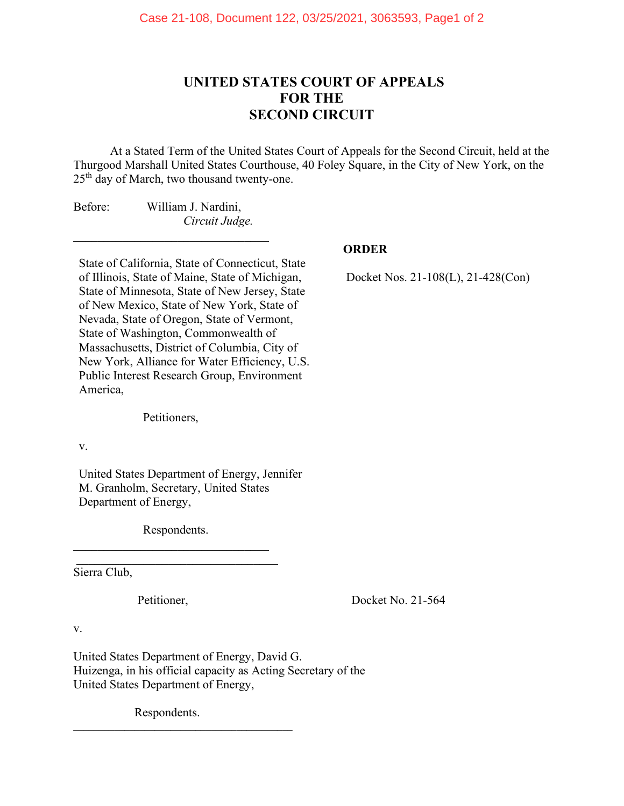## **UNITED STATES COURT OF APPEALS FOR THE SECOND CIRCUIT**

At a Stated Term of the United States Court of Appeals for the Second Circuit, held at the Thurgood Marshall United States Courthouse, 40 Foley Square, in the City of New York, on the 25<sup>th</sup> day of March, two thousand twenty-one.

Before: William J. Nardini, *Circuit Judge.*

\_\_\_\_\_\_\_\_\_\_\_\_\_\_\_\_\_\_\_\_\_\_\_\_\_\_\_\_\_\_\_\_

State of California, State of Connecticut, State of Illinois, State of Maine, State of Michigan, State of Minnesota, State of New Jersey, State of New Mexico, State of New York, State of Nevada, State of Oregon, State of Vermont, State of Washington, Commonwealth of Massachusetts, District of Columbia, City of New York, Alliance for Water Efficiency, U.S. Public Interest Research Group, Environment America,

Petitioners,

v.

United States Department of Energy, Jennifer M. Granholm, Secretary, United States Department of Energy,

 Respondents.  $\mathcal{L}_\text{max}$  , which is a set of the set of the set of the set of the set of the set of the set of the set of the set of the set of the set of the set of the set of the set of the set of the set of the set of the set of

 $\mathcal{L}_\mathcal{L}$  , where  $\mathcal{L}_\mathcal{L}$  , we are the set of the set of the set of the set of the set of the set of the set of the set of the set of the set of the set of the set of the set of the set of the set of the set o

Sierra Club,

Petitioner, Docket No. 21-564

v.

United States Department of Energy, David G. Huizenga, in his official capacity as Acting Secretary of the United States Department of Energy,

Respondents.

 $\mathcal{L}_\mathcal{L}$  , and the set of the set of the set of the set of the set of the set of the set of the set of the set of the set of the set of the set of the set of the set of the set of the set of the set of the set of th

## **ORDER**

Docket Nos. 21-108(L), 21-428(Con)